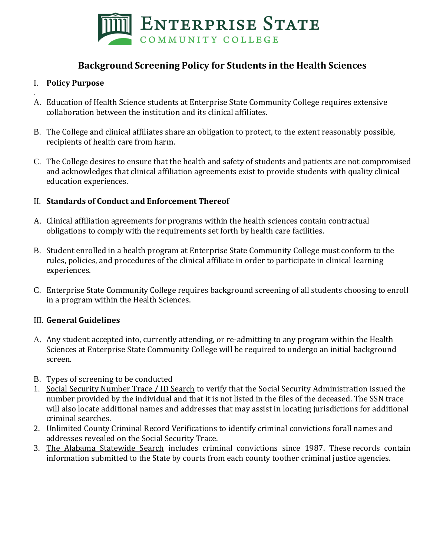

# **Background Screening Policy for Students in the Health Sciences**

### I. **Policy Purpose**

- . A. Education of Health Science students at Enterprise State Community College requires extensive collaboration between the institution and its clinical affiliates.
- B. The College and clinical affiliates share an obligation to protect, to the extent reasonably possible, recipients of health care from harm.
- C. The College desires to ensure that the health and safety of students and patients are not compromised and acknowledges that clinical affiliation agreements exist to provide students with quality clinical education experiences.

#### II. **Standards of Conduct and Enforcement Thereof**

- A. Clinical affiliation agreements for programs within the health sciences contain contractual obligations to comply with the requirements set forth by health care facilities.
- B. Student enrolled in a health program at Enterprise State Community College must conform to the rules, policies, and procedures of the clinical affiliate in order to participate in clinical learning experiences.
- C. Enterprise State Community College requires background screening of all students choosing to enroll in a program within the Health Sciences.

#### III. **General Guidelines**

- A. Any student accepted into, currently attending, or re-admitting to any program within the Health Sciences at Enterprise State Community College will be required to undergo an initial background screen.
- B. Types of screening to be conducted
- 1. Social Security Number Trace / ID Search to verify that the Social Security Administration issued the number provided by the individual and that it is not listed in the files of the deceased. The SSN trace will also locate additional names and addresses that may assist in locating jurisdictions for additional criminal searches.
- 2. Unlimited County Criminal Record Verifications to identify criminal convictions forall names and addresses revealed on the Social Security Trace.
- 3. The Alabama Statewide Search includes criminal convictions since 1987. These records contain information submitted to the State by courts from each county toother criminal justice agencies.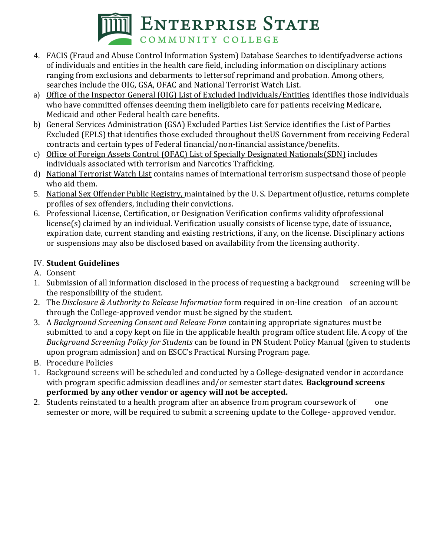

- 4. FACIS (Fraud and Abuse Control Information System) Database Searches to identifyadverse actions of individuals and entities in the health care field, including information on disciplinary actions ranging from exclusions and debarments to lettersof reprimand and probation. Among others, searches include the OIG, GSA, OFAC and National Terrorist Watch List.
- a) Office of the Inspector General (OIG) List of Excluded Individuals/Entities identifies those individuals who have committed offenses deeming them ineligibleto care for patients receiving Medicare, Medicaid and other Federal health care benefits.
- b) General Services Administration (GSA) Excluded Parties List Service identifies the List of Parties Excluded (EPLS) that identifies those excluded throughout theUS Government from receiving Federal contracts and certain types of Federal financial/non-financial assistance/benefits.
- c) Office of Foreign Assets Control (OFAC) List of Specially Designated Nationals(SDN) includes individuals associated with terrorism and Narcotics Trafficking.
- d) National Terrorist Watch List contains names of international terrorism suspectsand those of people who aid them.
- 5. National Sex Offender Public Registry, maintained by the U. S. Department ofJustice, returns complete profiles of sex offenders, including their convictions.
- 6. Professional License, Certification, or Designation Verification confirms validity ofprofessional license(s) claimed by an individual. Verification usually consists of license type, date of issuance, expiration date, current standing and existing restrictions, if any, on the license. Disciplinary actions or suspensions may also be disclosed based on availability from the licensing authority.

## IV. **Student Guidelines**

- A. Consent
- 1. Submission of all information disclosed in the process of requesting a background screening will be the responsibility of the student.
- 2. The *Disclosure & Authority to Release Information* form required in on-line creation of an account through the College-approved vendor must be signed by the student.
- 3. A *Background Screening Consent and Release Form* containing appropriate signatures must be submitted to and a copy kept on file in the applicable health program office student file. A copy of the *Background Screening Policy for Students* can be found in PN Student Policy Manual (given to students upon program admission) and on ESCC's Practical Nursing Program page.
- B. Procedure Policies
- 1. Background screens will be scheduled and conducted by a College-designated vendor in accordance with program specific admission deadlines and/or semester start dates. **Background screens performed by any other vendor or agency will not be accepted.**
- 2. Students reinstated to a health program after an absence from program coursework of one semester or more, will be required to submit a screening update to the College- approved vendor.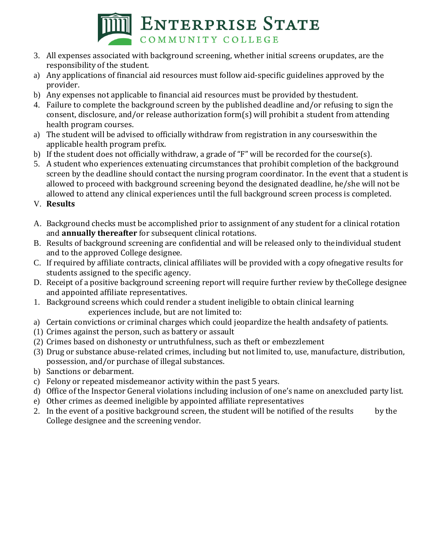

- 3. All expenses associated with background screening, whether initial screens orupdates, are the responsibility of the student.
- a) Any applications of financial aid resources must follow aid-specific guidelines approved by the provider.
- b) Any expenses not applicable to financial aid resources must be provided by thestudent.
- 4. Failure to complete the background screen by the published deadline and/or refusing to sign the consent, disclosure, and/or release authorization form(s) will prohibit a student from attending health program courses.
- a) The student will be advised to officially withdraw from registration in any courseswithin the applicable health program prefix.
- b) If the student does not officially withdraw, a grade of "F" will be recorded for the course(s).
- 5. A student who experiences extenuating circumstances that prohibit completion of the background screen by the deadline should contact the nursing program coordinator. In the event that a student is allowed to proceed with background screening beyond the designated deadline, he/she will not be allowed to attend any clinical experiences until the full background screen process is completed.
- V. **Results**
- A. Background checks must be accomplished prior to assignment of any student for a clinical rotation and **annually thereafter** for subsequent clinical rotations.
- B. Results of background screening are confidential and will be released only to theindividual student and to the approved College designee.
- C. If required by affiliate contracts, clinical affiliates will be provided with a copy ofnegative results for students assigned to the specific agency.
- D. Receipt of a positive background screening report will require further review by theCollege designee and appointed affiliate representatives.
- 1. Background screens which could render a student ineligible to obtain clinical learning experiences include, but are not limited to:
- a) Certain convictions or criminal charges which could jeopardize the health andsafety of patients.
- (1) Crimes against the person, such as battery or assault
- (2) Crimes based on dishonesty or untruthfulness, such as theft or embezzlement
- (3) Drug or substance abuse-related crimes, including but not limited to, use, manufacture, distribution, possession, and/or purchase of illegal substances.
- b) Sanctions or debarment.
- c) Felony or repeated misdemeanor activity within the past 5 years.
- d) Office of the Inspector General violations including inclusion of one's name on anexcluded party list.
- e) Other crimes as deemed ineligible by appointed affiliate representatives
- 2. In the event of a positive background screen, the student will be notified of the results by the College designee and the screening vendor.